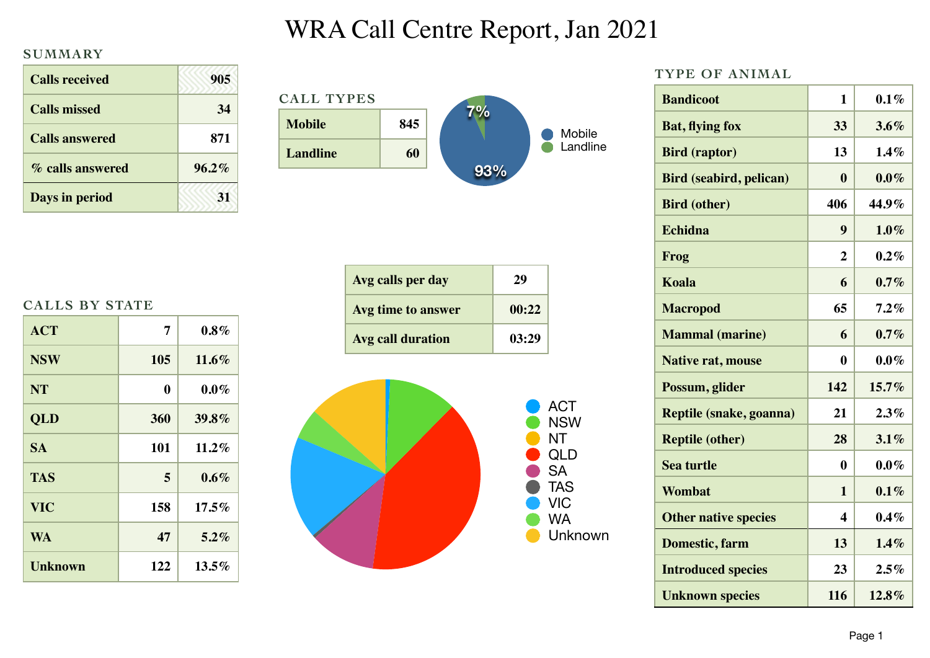## WRA Call Centre Report, Jan 2021

## **SUMMARY**

| <b>Calls received</b> | 905      |
|-----------------------|----------|
| <b>Calls missed</b>   | 34       |
| <b>Calls answered</b> | 871      |
| % calls answered      | $96.2\%$ |
| Days in period        |          |

| <b>CALL TYPES</b> |     |     |          |
|-------------------|-----|-----|----------|
| <b>Mobile</b>     | 845 | 7%  | Mobile   |
| Landline          | 60  |     | Landline |
|                   |     | 93% |          |

| <b>CALLS BY STATE</b> |  |  |
|-----------------------|--|--|
|-----------------------|--|--|

| <b>ACT</b>     | 7   | $0.8\%$  |
|----------------|-----|----------|
| <b>NSW</b>     | 105 | $11.6\%$ |
| <b>NT</b>      | 0   | $0.0\%$  |
| <b>QLD</b>     | 360 | 39.8%    |
| <b>SA</b>      | 101 | $11.2\%$ |
| <b>TAS</b>     | 5   | $0.6\%$  |
| <b>VIC</b>     | 158 | $17.5\%$ |
| <b>WA</b>      | 47  | $5.2\%$  |
| <b>Unknown</b> | 122 | $13.5\%$ |

| Avg calls per day  | 29    |
|--------------------|-------|
| Avg time to answer | 00:22 |
| Avg call duration  | 03:29 |





| TYPE OF ANIMAL                 |                |         |
|--------------------------------|----------------|---------|
| <b>Bandicoot</b>               | $\mathbf{1}$   | $0.1\%$ |
| <b>Bat, flying fox</b>         | 33             | 3.6%    |
| <b>Bird</b> (raptor)           | 13             | 1.4%    |
| <b>Bird (seabird, pelican)</b> | $\bf{0}$       | $0.0\%$ |
| <b>Bird (other)</b>            | 406            | 44.9%   |
| <b>Echidna</b>                 | 9              | $1.0\%$ |
| Frog                           | $\overline{2}$ | $0.2\%$ |
| <b>Koala</b>                   | 6              | 0.7%    |
| <b>Macropod</b>                | 65             | 7.2%    |
| <b>Mammal</b> (marine)         | 6              | 0.7%    |
| <b>Native rat, mouse</b>       | $\bf{0}$       | $0.0\%$ |
| Possum, glider                 | 142            | 15.7%   |
| Reptile (snake, goanna)        | 21             | 2.3%    |
| <b>Reptile (other)</b>         | 28             | 3.1%    |
| <b>Sea turtle</b>              | $\bf{0}$       | $0.0\%$ |
| <b>Wombat</b>                  | 1              | 0.1%    |
| <b>Other native species</b>    | 4              | $0.4\%$ |
| Domestic, farm                 | 13             | 1.4%    |
| <b>Introduced species</b>      | 23             | 2.5%    |
| <b>Unknown species</b>         | 116            | 12.8%   |